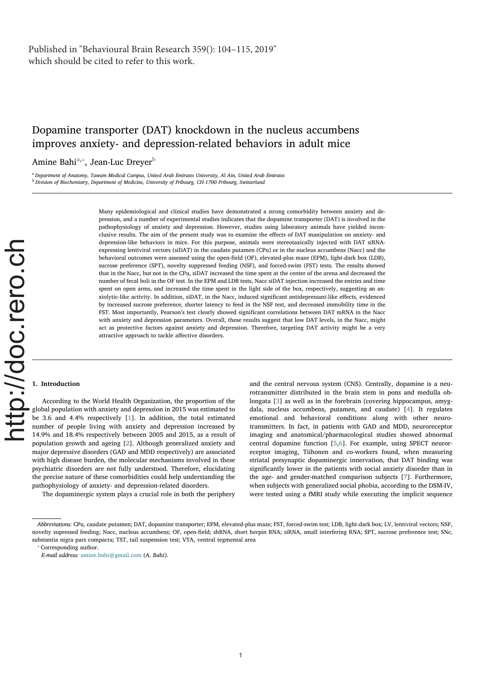# Dopamine transporter (DAT) knockdown in the nucleus accumbens improves anxiety- and depression-related behaviors in adult mice

Amine Bahi<sup>a,</sup>\*, Jean-Luc Dreyer<sup>b</sup>

<sup>a</sup> Department of Anatomy, Tawam Medical Campus, United Arab Emirates University, Al Ain, United Arab Emirates **b Division of Biochemistry, Department of Medicine, University of Fribourg, CH-1700 Fribourg, Switzerland** 

> Many epidemiological and clinical studies have demonstrated a strong comorbidity between anxiety and depression, and a number of experimental studies indicates that the dopamine transporter (DAT) is involved in the pathophysiology of anxiety and depression. However, studies using laboratory animals have yielded inconclusive results. The aim of the present study was to examine the effects of DAT manipulation on anxiety- and depression-like behaviors in mice. For this purpose, animals were stereotaxically injected with DAT siRNAexpressing lentiviral vectors (siDAT) in the caudate putamen (CPu) or in the nucleus accumbens (Nacc) and the behavioral outcomes were assessed using the open-field (OF), elevated-plus maze (EPM), light-dark box (LDB), sucrose preference (SPT), novelty suppressed feeding (NSF), and forced-swim (FST) tests. The results showed that in the Nacc, but not in the CPu, siDAT increased the time spent at the center of the arena and decreased the number of fecal boli in the OF test. In the EPM and LDB tests, Nacc siDAT injection increased the entries and time spent on open arms, and increased the time spent in the light side of the box, respectively, suggesting an anxiolytic-like activity. In addition, siDAT, in the Nacc, induced significant antidepressant-like effects, evidenced by increased sucrose preference, shorter latency to feed in the NSF test, and decreased immobility time in the FST. Most importantly, Pearson's test clearly showed significant correlations between DAT mRNA in the Nacc with anxiety and depression parameters. Overall, these results suggest that low DAT levels, in the Nacc, might act as protective factors against anxiety and depression. Therefore, targeting DAT activity might be a very attractive approach to tackle affective disorders.

# 1. Introduction

According to the World Health Organization, the proportion of the global population with anxiety and depression in 2015 was estimated to be 3.6 and 4.4% respectively [1]. In addition, the total estimated number of people living with anxiety and depression increased by 14.9% and 18.4% respectively between 2005 and 2015, as a result of population growth and ageing [2]. Although generalized anxiety and major depressive disorders (GAD and MDD respectively) are associated with high disease burden, the molecular mechanisms involved in these psychiatric disorders are not fully understood. Therefore, elucidating the precise nature of these comorbidities could help understanding the pathophysiology of anxiety- and depression-related disorders.

The dopaminergic system plays a crucial role in both the periphery

and the central nervous system (CNS). Centrally, dopamine is a neurotransmitter distributed in the brain stem in pons and medulla oblongata [3] as well as in the forebrain (covering hippocampus, amygdala, nucleus accumbens, putamen, and caudate) [4]. It regulates emotional and behavioral conditions along with other neurotransmitters. In fact, in patients with GAD and MDD, neuroreceptor imaging and anatomical/pharmacological studies showed abnormal central dopamine function [5,6]. For example, using SPECT neuroreceptor imaging, Tiihonen and co-workers found, when measuring striatal presynaptic dopaminergic innervation, that DAT binding was significantly lower in the patients with social anxiety disorder than in the age- and gender-matched comparison subjects [7]. Furthermore, when subjects with generalized social phobia, according to the DSM-IV, were tested using a fMRI study while executing the implicit sequence

⁎ Corresponding author.

Abbreviations: CPu, caudate putamen; DAT, dopamine transporter; EPM, elevated-plus maze; FST, forced-swim test; LDB, light-dark box; LV, lentiviral vectors; NSF, novelty supressed feeding; Nacc, nucleus accumbens; OF, open-field; shRNA, short herpin RNA; siRNA, small interfering RNA; SPT, sucrose preference test; SNc, substantia nigra pars compacta; TST, tail suspension test; VTA, ventral tegmental area

E-mail address: amine.bahi@gmail.com (A. Bahi).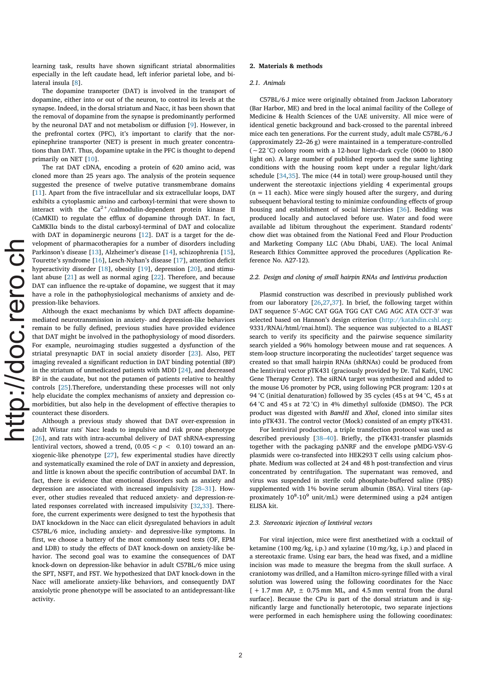learning task, results have shown significant striatal abnormalities especially in the left caudate head, left inferior parietal lobe, and bilateral insula [8].

The dopamine transporter (DAT) is involved in the transport of dopamine, either into or out of the neuron, to control its levels at the synapse. Indeed, in the dorsal striatum and Nacc, it has been shown that the removal of dopamine from the synapse is predominantly performed by the neuronal DAT and not metabolism or diffusion [9]. However, in the prefrontal cortex (PFC), it's important to clarify that the norepinephrine transporter (NET) is present in much greater concentrations than DAT. Thus, dopamine uptake in the PFC is thought to depend primarily on NET [10].

The rat DAT cDNA, encoding a protein of 620 amino acid, was cloned more than 25 years ago. The analysis of the protein sequence suggested the presence of twelve putative transmembrane domains [11]. Apart from the five intracellular and six extracellular loops, DAT exhibits a cytoplasmic amino and carboxyl-termini that were shown to interact with the  $Ca^{2+}/cal$ calmodulin-dependent protein kinase II (CaMKII) to regulate the efflux of dopamine through DAT. In fact, CaMKIIα binds to the distal carboxyl-terminal of DAT and colocalize with DAT in dopaminergic neurons [12]. DAT is a target for the development of pharmacotherapies for a number of disorders including Parkinson's disease [13], Alzheimer's disease [14], schizophrenia [15], Tourette's syndrome [16], Lesch-Nyhan's disease [17], attention deficit hyperactivity disorder [18], obesity [19], depression [20], and stimulant abuse [21] as well as normal aging [22]. Therefore, and because DAT can influence the re-uptake of dopamine, we suggest that it may have a role in the pathophysiological mechanisms of anxiety and depression-like behaviors.

Although the exact mechanisms by which DAT affects dopaminemediated neurotransmission in anxiety- and depression-like behaviors remain to be fully defined, previous studies have provided evidence that DAT might be involved in the pathophysiology of mood disorders. For example, neuroimaging studies suggested a dysfunction of the striatal presynaptic DAT in social anxiety disorder [23]. Also, PET imaging revealed a significant reduction in DAT binding potential (BP) in the striatum of unmedicated patients with MDD [24], and decreased BP in the caudate, but not the putamen of patients relative to healthy controls [25].Therefore, understanding these processes will not only help elucidate the complex mechanisms of anxiety and depression comorbidities, but also help in the development of effective therapies to counteract these disorders.

Although a previous study showed that DAT over-expression in adult Wistar rats' Nacc leads to impulsive and risk prone phenotype [26], and rats with intra-accumbal delivery of DAT shRNA-expressing lentiviral vectors, showed a trend,  $(0.05 < p < 0.10)$  toward an anxiogenic-like phenotype [27], few experimental studies have directly and systematically examined the role of DAT in anxiety and depression, and little is known about the specific contribution of accumbal DAT. In fact, there is evidence that emotional disorders such as anxiety and depression are associated with increased impulsivity [28–31]. However, other studies revealed that reduced anxiety- and depression-related responses correlated with increased impulsivity [32,33]. Therefore, the current experiments were designed to test the hypothesis that DAT knockdown in the Nacc can elicit dysregulated behaviors in adult C57BL/6 mice, including anxiety- and depressive-like symptoms. In first, we choose a battery of the most commonly used tests (OF, EPM and LDB) to study the effects of DAT knock-down on anxiety-like behavior. The second goal was to examine the consequences of DAT knock-down on depression-like behavior in adult C57BL/6 mice using the SPT, NSFT, and FST. We hypothesized that DAT knock-down in the Nacc will ameliorate anxiety-like behaviors, and consequently DAT anxiolytic prone phenotype will be associated to an antidepressant-like activity.

# 2. Materials & methods

### 2.1. Animals

C57BL/6 J mice were originally obtained from Jackson Laboratory (Bar Harbor, ME) and bred in the local animal facility of the College of Medicine & Health Sciences of the UAE university. All mice were of identical genetic background and back-crossed to the parental inbreed mice each ten generations. For the current study, adult male C57BL/6 J (approximately 22–26 g) were maintained in a temperature-controlled (∼22 °C) colony room with a 12-hour light–dark cycle (0600 to 1800 light on). A large number of published reports used the same lighting conditions with the housing room kept under a regular light/dark schedule [34,35]. The mice (44 in total) were group-housed until they underwent the stereotaxic injections yielding 4 experimental groups  $(n = 11 \text{ each})$ . Mice were singly housed after the surgery, and during subsequent behavioral testing to minimize confounding effects of group housing and establishment of social hierarchies [36]. Bedding was produced locally and autoclaved before use. Water and food were available ad libitum throughout the experiment. Standard rodents' chow diet was obtained from the National Feed and Flour Production and Marketing Company LLC (Abu Dhabi, UAE). The local Animal Research Ethics Committee approved the procedures (Application Reference No. A27-12).

#### 2.2. Design and cloning of small hairpin RNAs and lentivirus production

Plasmid construction was described in previously published work from our laboratory [26,27,37]. In brief, the following target within DAT sequence 5'-AGC CAT GGA TGG CAT CAG AGC ATA CCT-3' was selected based on Hannon's design criterion (http://katahdin.cshl.org: 9331/RNAi/html/rnai.html). The sequence was subjected to a BLAST search to verify its specificity and the pairwise sequence similarity search yielded a 96% homology between mouse and rat sequences. A stem-loop structure incorporating the nucleotides' target sequence was created so that small hairpin RNAs (shRNAs) could be produced from the lentiviral vector pTK431 (graciously provided by Dr. Tal Kafri, UNC Gene Therapy Center). The siRNA target was synthesized and added to the mouse U6 promoter by PCR, using following PCR program: 120 s at 94 °C (initial denaturation) followed by 35 cycles (45 s at 94 °C, 45 s at 64 °C and 45 s at 72 °C) in 4% dimethyl sulfoxide (DMSO). The PCR product was digested with BamHI and XhoI, cloned into similar sites into pTK431. The control vector (Mock) consisted of an empty pTK431.

For lentiviral production, a triple transfection protocol was used as described previously [38–40]. Briefly, the pTK431-transfer plasmids together with the packaging pΔNRF and the envelope pMDG-VSV-G plasmids were co-transfected into HEK293 T cells using calcium phosphate. Medium was collected at 24 and 48 h post-transfection and virus concentrated by centrifugation. The supernatant was removed, and virus was suspended in sterile cold phosphate-buffered saline (PBS) supplemented with 1% bovine serum albumin (BSA). Viral titers (approximately 10<sup>8</sup>-10<sup>9</sup> unit/mL) were determined using a p24 antigen ELISA kit.

### 2.3. Stereotaxic injection of lentiviral vectors

For viral injection, mice were first anesthetized with a cocktail of ketamine (100 mg/kg, i.p.) and xylazine (10 mg/kg, i.p.) and placed in a stereotaxic frame. Using ear bars, the head was fixed, and a midline incision was made to measure the bregma from the skull surface. A craniotomy was drilled, and a Hamilton micro-syringe filled with a viral solution was lowered using the following coordinates for the Nacc  $[ + 1.7$  mm AP,  $\pm$  0.75 mm ML, and 4.5 mm ventral from the dural surface]. Because the CPu is part of the dorsal striatum and is significantly large and functionally heterotopic, two separate injections were performed in each hemisphere using the following coordinates: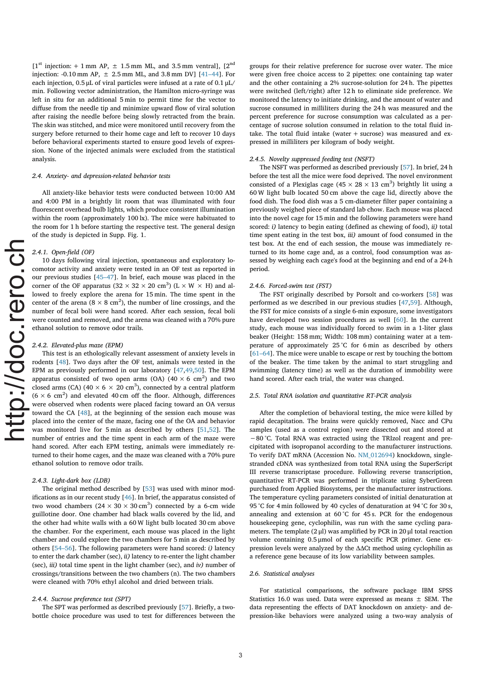$[1<sup>st</sup> injection: + 1 mm AP,  $\pm$  1.5 mm ML, and 3.5 mm ventrall,  $[2<sup>nd</sup>]$$ injection: -0.10 mm AP,  $\pm$  2.5 mm ML, and 3.8 mm DV] [41–44]. For each injection, 0.5 μL of viral particles were infused at a rate of 0.1 μL/ min. Following vector administration, the Hamilton micro-syringe was left in situ for an additional 5 min to permit time for the vector to diffuse from the needle tip and minimize upward flow of viral solution after raising the needle before being slowly retracted from the brain. The skin was stitched, and mice were monitored until recovery from the surgery before returned to their home cage and left to recover 10 days before behavioral experiments started to ensure good levels of expression. None of the injected animals were excluded from the statistical analysis.

#### 2.4. Anxiety- and depression-related behavior tests

All anxiety-like behavior tests were conducted between 10:00 AM and 4:00 PM in a brightly lit room that was illuminated with four fluorescent overhead bulb lights, which produce consistent illumination within the room (approximately 100 lx). The mice were habituated to the room for 1 h before starting the respective test. The general design of the study is depicted in Supp. Fig. 1.

### 2.4.1. Open-field (OF)

10 days following viral injection, spontaneous and exploratory locomotor activity and anxiety were tested in an OF test as reported in our previous studies [45–47]. In brief, each mouse was placed in the corner of the OF apparatus ( $32 \times 32 \times 20$  cm<sup>3</sup>) ( $L \times W \times H$ ) and allowed to freely explore the arena for 15 min. The time spent in the center of the arena ( $8 \times 8$  cm<sup>2</sup>), the number of line crossings, and the number of fecal boli were hand scored. After each session, fecal boli were counted and removed, and the arena was cleaned with a 70% pure ethanol solution to remove odor trails.

### 2.4.2. Elevated-plus maze (EPM)

This test is an ethologically relevant assessment of anxiety levels in rodents [48]. Two days after the OF test, animals were tested in the EPM as previously performed in our laboratory [47,49,50]. The EPM apparatus consisted of two open arms (OA)  $(40 \times 6 \text{ cm}^2)$  and two closed arms (CA) (40  $\times$  6  $\times$  20 cm<sup>3</sup>), connected by a central platform  $(6 \times 6 \text{ cm}^2)$  and elevated 40 cm off the floor. Although, differences were observed when rodents were placed facing toward an OA versus toward the CA [48], at the beginning of the session each mouse was placed into the center of the maze, facing one of the OA and behavior was monitored live for 5 min as described by others [51,52]. The number of entries and the time spent in each arm of the maze were hand scored. After each EPM testing, animals were immediately returned to their home cages, and the maze was cleaned with a 70% pure ethanol solution to remove odor trails.

### 2.4.3. Light-dark box (LDB)

The original method described by [53] was used with minor modifications as in our recent study  $[46]$ . In brief, the apparatus consisted of two wood chambers (24  $\times$  30  $\times$  30 cm $^3)$  connected by a 6-cm wide guillotine door. One chamber had black walls covered by the lid, and the other had white walls with a 60 W light bulb located 30 cm above the chamber. For the experiment, each mouse was placed in the light chamber and could explore the two chambers for 5 min as described by others [54–56]. The following parameters were hand scored: i) latency to enter the dark chamber (sec), ii) latency to re-enter the light chamber (sec),  $iii$ ) total time spent in the light chamber (sec), and  $iv$ ) number of crossings/transitions between the two chambers (n). The two chambers were cleaned with 70% ethyl alcohol and dried between trials.

### 2.4.4. Sucrose preference test (SPT)

The SPT was performed as described previously [57]. Briefly, a twobottle choice procedure was used to test for differences between the groups for their relative preference for sucrose over water. The mice were given free choice access to 2 pipettes: one containing tap water and the other containing a 2% sucrose-solution for 24 h. The pipettes were switched (left/right) after 12 h to eliminate side preference. We monitored the latency to initiate drinking, and the amount of water and sucrose consumed in milliliters during the 24 h was measured and the percent preference for sucrose consumption was calculated as a percentage of sucrose solution consumed in relation to the total fluid intake. The total fluid intake (water  $+$  sucrose) was measured and expressed in milliliters per kilogram of body weight.

### 2.4.5. Novelty suppressed feeding test (NSFT)

The NSFT was performed as described previously [57]. In brief, 24 h before the test all the mice were food deprived. The novel environment consisted of a Plexiglas cage (45  $\times$  28  $\times$  13 cm<sup>3</sup>) brightly lit using a 60 W light bulb located 50 cm above the cage lid, directly above the food dish. The food dish was a 5 cm‐diameter filter paper containing a previously weighed piece of standard lab chow. Each mouse was placed into the novel cage for 15 min and the following parameters were hand scored: *i*) latency to begin eating (defined as chewing of food), *ii*) total time spent eating in the test box, iii) amount of food consumed in the test box. At the end of each session, the mouse was immediately returned to its home cage and, as a control, food consumption was assessed by weighing each cage's food at the beginning and end of a 24-h period.

#### 2.4.6. Forced-swim test (FST)

The FST originally described by Porsolt and co-workers [58] was performed as we described in our previous studies [47,59]. Although, the FST for mice consists of a single 6-min exposure, some investigators have developed two session procedures as well [60]. In the current study, each mouse was individually forced to swim in a 1-liter glass beaker (Height: 158 mm; Width: 108 mm) containing water at a temperature of approximately 25 °C for 6 min as described by others [61–64]. The mice were unable to escape or rest by touching the bottom of the beaker. The time taken by the animal to start struggling and swimming (latency time) as well as the duration of immobility were hand scored. After each trial, the water was changed.

### 2.5. Total RNA isolation and quantitative RT-PCR analysis

After the completion of behavioral testing, the mice were killed by rapid decapitation. The brains were quickly removed, Nacc and CPu samples (used as a control region) were dissected out and stored at −80 °C. Total RNA was extracted using the TRIzol reagent and precipitated with isopropanol according to the manufacturer instructions. To verify DAT mRNA (Accession No. NM\_012694) knockdown, singlestranded cDNA was synthesized from total RNA using the SuperScript III reverse transcriptase procedure. Following reverse transcription, quantitative RT-PCR was performed in triplicate using SyberGreen purchased from Applied Biosystems, per the manufacturer instructions. The temperature cycling parameters consisted of initial denaturation at 95 °C for 4 min followed by 40 cycles of denaturation at 94 °C for 30 s, annealing and extension at 60 °C for 45 s. PCR for the endogenous housekeeping gene, cyclophilin, was run with the same cycling parameters. The template  $(2 \mu l)$  was amplified by PCR in 20  $\mu$ l total reaction volume containing 0.5 μmol of each specific PCR primer. Gene expression levels were analyzed by the ΔΔCt method using cyclophilin as a reference gene because of its low variability between samples.

#### 2.6. Statistical analyses

3

For statistical comparisons, the software package IBM SPSS Statistics 16.0 was used. Data were expressed as means  $\pm$  SEM. The data representing the effects of DAT knockdown on anxiety- and depression-like behaviors were analyzed using a two-way analysis of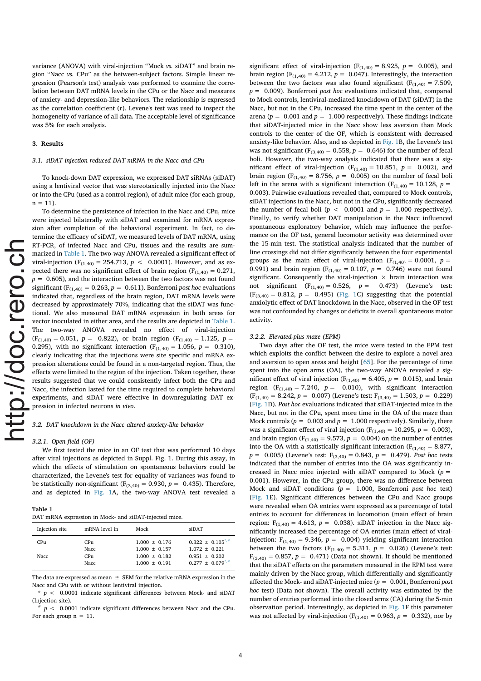variance (ANOVA) with viral-injection "Mock vs. siDAT" and brain region "Nacc vs. CPu" as the between-subject factors. Simple linear regression (Pearson's test) analysis was performed to examine the correlation between DAT mRNA levels in the CPu or the Nacc and measures of anxiety- and depression-like behaviors. The relationship is expressed as the correlation coefficient (r). Levene's test was used to inspect the homogeneity of variance of all data. The acceptable level of significance was 5% for each analysis.

#### 3. Results

### 3.1. siDAT injection reduced DAT mRNA in the Nacc and CPu

To knock-down DAT expression, we expressed DAT siRNAs (siDAT) using a lentiviral vector that was stereotaxically injected into the Nacc or into the CPu (used as a control region), of adult mice (for each group,  $n = 11$ .

To determine the persistence of infection in the Nacc and CPu, mice were injected bilaterally with siDAT and examined for mRNA expression after completion of the behavioral experiment. In fact, to determine the efficacy of siDAT, we measured levels of DAT mRNA, using RT-PCR, of infected Nacc and CPu, tissues and the results are summarized in Table 1. The two-way ANOVA revealed a significant effect of viral-injection (F<sub>(1,40)</sub> = 254.713,  $p < 0.0001$ ). However, and as expected there was no significant effect of brain region ( $F_{(1,40)} = 0.271$ ,  $p = 0.605$ , and the interaction between the two factors was not found significant ( $F_{(1,40)} = 0.263$ ,  $p = 0.611$ ). Bonferroni post hoc evaluations indicated that, regardless of the brain region, DAT mRNA levels were decreased by approximately 70%, indicating that the siDAT was functional. We also measured DAT mRNA expression in both areas for vector inoculated in either area, and the results are depicted in Table 1. The two-way ANOVA revealed no effect of viral-injection  $(F_{(1,40)} = 0.051, p = 0.822)$ , or brain region  $(F_{(1,40)} = 1.125, p = 1.125)$ 0.295), with no significant interaction ( $F_{(1,40)} = 1.056$ ,  $p = 0.310$ ), clearly indicating that the injections were site specific and mRNA expression alterations could be found in a non-targeted region. Thus, the effects were limited to the region of the injection. Taken together, these results suggested that we could consistently infect both the CPu and Nacc, the infection lasted for the time required to complete behavioral experiments, and siDAT were effective in downregulating DAT expression in infected neurons in vivo.

3.2. DAT knockdown in the Nacc altered anxiety-like behavior

#### 3.2.1. Open-field (OF)

We first tested the mice in an OF test that was performed 10 days after viral injections as depicted in Suppl. Fig. 1. During this assay, in which the effects of stimulation on spontaneous behaviors could be characterized, the Levene's test for equality of variances was found to be statistically non-significant ( $F_{(3,40)} = 0.930$ ,  $p = 0.435$ ). Therefore, and as depicted in Fig. 1A, the two-way ANOVA test revealed a

| Table 1                                              |  |  |  |  |
|------------------------------------------------------|--|--|--|--|
| DAT mRNA expression in Mock- and siDAT-injected mice |  |  |  |  |

| Injection site | mRNA level in | Mock              | siDAT                    |
|----------------|---------------|-------------------|--------------------------|
| CPu            | CPu           | $1.000 \pm 0.176$ | $0.322 + 0.105^{*,#}$    |
|                | <b>Nacc</b>   | $1.000 + 0.157$   | $1.072 + 0.221$          |
| <b>Nacc</b>    | CPu           | $1.000 + 0.182$   | $0.951 + 0.202$          |
|                | <b>Nacc</b>   | $1.000 + 0.191$   | $0.277 \pm 0.079^{*,\#}$ |

The data are expressed as mean  $+$  SEM for the relative mRNA expression in the Nacc and CPu with or without lentiviral injection.

 $* p < 0.0001$  indicate significant differences between Mock- and siDAT (Injection site).

#  $p < 0.0001$  indicate significant differences between Nacc and the CPu. For each group  $n = 11$ .

significant effect of viral-injection ( $F_{(1,40)} = 8.925$ ,  $p = 0.005$ ), and brain region ( $F_{(1,40)} = 4.212$ ,  $p = 0.047$ ). Interestingly, the interaction between the two factors was also found significant ( $F_{(1,40)} = 7.509$ ,  $p = 0.009$ ). Bonferroni *post hoc* evaluations indicated that, compared to Mock controls, lentiviral-mediated knockdown of DAT (siDAT) in the Nacc, but not in the CPu, increased the time spent in the center of the arena ( $p = 0.001$  and  $p = 1.000$  respectively). These findings indicate that siDAT-injected mice in the Nacc show less aversion than Mock controls to the center of the OF, which is consistent with decreased anxiety-like behavior. Also, and as depicted in Fig. 1B, the Levene's test was not significant ( $F_{(3,40)} = 0.558$ ,  $p = 0.646$ ) for the number of fecal boli. However, the two-way analysis indicated that there was a significant effect of viral-injection ( $F_{(1,40)} = 10.851$ ,  $p = 0.002$ ), and brain region ( $F_{(1,40)} = 8.756$ ,  $p = 0.005$ ) on the number of fecal boli left in the arena with a significant interaction ( $F_{(1,40)} = 10.128$ ,  $p =$ 0.003). Pairwise evaluations revealed that, compared to Mock controls, siDAT injections in the Nacc, but not in the CPu, significantly decreased the number of fecal boli ( $p < 0.0001$  and  $p = 1.000$  respectively). Finally, to verify whether DAT manipulation in the Nacc influenced spontaneous exploratory behavior, which may influence the performance on the OF test, general locomotor activity was determined over the 15-min test. The statistical analysis indicated that the number of line crossings did not differ significantly between the four experimental groups as the main effect of viral-injection ( $F_{(1,40)} = 0.0001$ ,  $p =$ 0.991) and brain region ( $F_{(1,40)} = 0.107$ ,  $p = 0.746$ ) were not found significant. Consequently the viral-injection  $\times$  brain interaction was not significant  $(F_{(1,40)} = 0.526, p = 0.473)$  (Levene's test:  $(F_{(3,40)} = 0.812, p = 0.495)$  (Fig. 1C) suggesting that the potential anxiolytic effect of DAT knockdown in the Nacc, observed in the OF test was not confounded by changes or deficits in overall spontaneous motor activity.

#### 3.2.2. Elevated-plus maze (EPM)

Two days after the OF test, the mice were tested in the EPM test which exploits the conflict between the desire to explore a novel area and aversion to open areas and height [65]. For the percentage of time spent into the open arms (OA), the two-way ANOVA revealed a significant effect of viral injection ( $F_{(1,40)} = 6.405$ ,  $p = 0.015$ ), and brain region  $(F_{(1,40)} = 7.240, p = 0.010)$ , with significant interaction  $(F<sub>(1,40)</sub> = 8.242, p = 0.007)$  (Levene's test:  $F<sub>(3,40)</sub> = 1.503, p = 0.229)$ (Fig. 1D). Post hoc evaluations indicated that siDAT-injected mice in the Nacc, but not in the CPu, spent more time in the OA of the maze than Mock controls ( $p = 0.003$  and  $p = 1.000$  respectively). Similarly, there was a significant effect of viral injection ( $F_{(1,40)} = 10.295$ ,  $p = 0.003$ ), and brain region ( $F_{(1,40)} = 9.573$ ,  $p = 0.004$ ) on the number of entries into the OA with a statistically significant interaction ( $F_{(1,40)} = 8.877$ ,  $p = 0.005$ ) (Levene's test:  $F_{(3,40)} = 0.843$ ,  $p = 0.479$ ). Post hoc tests indicated that the number of entries into the OA was significantly increased in Nacc mice injected with siDAT compared to Mock  $(p =$ 0.001). However, in the CPu group, there was no difference between Mock and siDAT conditions  $(p = 1.000,$  Bonferroni post hoc test) (Fig. 1E). Significant differences between the CPu and Nacc groups were revealed when OA entries were expressed as a percentage of total entries to account for differences in locomotion (main effect of brain region:  $F_{(1,40)} = 4.613$ ,  $p = 0.038$ ). siDAT injection in the Nacc significantly increased the percentage of OA entries (main effect of viralinjection:  $F_{(1,40)} = 9.346$ ,  $p = 0.004$ ) yielding significant interaction between the two factors  $(F<sub>(1,40)</sub> = 5.311, p = 0.026)$  (Levene's test:  $F_{(3,40)} = 0.857, p = 0.471$ ) (Data not shown). It should be mentioned that the siDAT effects on the parameters measured in the EPM test were mainly driven by the Nacc group, which differentially and significantly affected the Mock- and siDAT-injected mice ( $p = 0.001$ , Bonferroni post hoc test) (Data not shown). The overall activity was estimated by the number of entries performed into the closed arms (CA) during the 5-min observation period. Interestingly, as depicted in Fig. 1F this parameter was not affected by viral-injection ( $F_{(1,40)} = 0.963$ ,  $p = 0.332$ ), nor by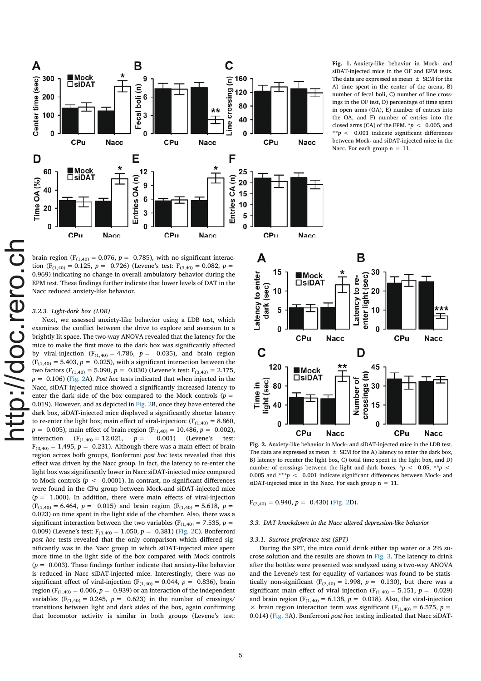

brain region ( $F_{(1,40)} = 0.076$ ,  $p = 0.785$ ), with no significant interaction (F<sub>(1,40)</sub> = 0,125, p = 0,726) (Levene's test: F<sub>(3,40)</sub> = 0,082, p = 0.969) indicating no change in overall ambulatory behavior during the EPM test. These findings further indicate that lower levels of DAT in the Nacc reduced anxiety-like behavior.

### 3.2.3. Light-dark box (LDB)

Next, we assessed anxiety-like behavior using a LDB test, which examines the conflict between the drive to explore and aversion to a brightly lit space. The two-way ANOVA revealed that the latency for the mice to make the first move to the dark box was significantly affected by viral-injection ( $F_{(1,40)} = 4.786$ ,  $p = 0.035$ ), and brain region  $(F<sub>(1,40)</sub> = 5.403, p = 0.025)$ , with a significant interaction between the two factors ( $F_{(1,40)} = 5.090$ ,  $p = 0.030$ ) (Levene's test:  $F_{(3,40)} = 2.175$ ,  $p = 0.106$ ) (Fig. 2A). Post hoc tests indicated that when injected in the Nacc, siDAT-injected mice showed a significantly increased latency to enter the dark side of the box compared to the Mock controls  $(p =$ 0.019). However, and as depicted in Fig. 2B, once they have entered the dark box, siDAT-injected mice displayed a significantly shorter latency to re-enter the light box; main effect of viral-injection:  $(F_{(1,40)} = 8.860,$  $p = 0.005$ , main effect of brain region (F<sub>(1,40)</sub> = 10.486, p = 0.002),<br>interaction (F<sub>(1,40)</sub> = 12.021, p = 0.001) (Levene's test:  $(F_{(1,40)} = 12.021, p = 0.001)$  (Levene's test:  $F_{(3,40)} = 1.495$ ,  $p = 0.231$ ). Although there was a main effect of brain region across both groups, Bonferroni post hoc tests revealed that this effect was driven by the Nacc group. In fact, the latency to re-enter the light box was significantly lower in Nacc siDAT-injected mice compared to Mock controls ( $p < 0.0001$ ). In contrast, no significant differences were found in the CPu group between Mock-and siDAT-injected mice  $(p = 1.000)$ . In addition, there were main effects of viral-injection  $(F<sub>(1,40)</sub> = 6.464, p = 0.015)$  and brain region  $(F<sub>(1,40)</sub> = 5.618, p =$ 0.023) on time spent in the light side of the chamber. Also, there was a significant interaction between the two variables ( $F_{(1,40)} = 7.535$ ,  $p =$ 0.009) (Levene's test:  $F_{(3,40)} = 1.050$ ,  $p = 0.381$ ) (Fig. 2C). Bonferroni post hoc tests revealed that the only comparison which differed significantly was in the Nacc group in which siDAT-injected mice spent more time in the light side of the box compared with Mock controls  $(p = 0.003)$ . These findings further indicate that anxiety-like behavior is reduced in Nacc siDAT-injected mice. Interestingly, there was no significant effect of viral-injection ( $F_{(1,40)} = 0.044$ ,  $p = 0.836$ ), brain region ( $F_{(1,40)} = 0.006$ ,  $p = 0.939$ ) or an interaction of the independent variables ( $F_{(1,40)} = 0.245$ ,  $p = 0.623$ ) in the number of crossings/ transitions between light and dark sides of the box, again confirming that locomotor activity is similar in both groups (Levene's test: Fig. 1. Anxiety-like behavior in Mock- and siDAT-injected mice in the OF and EPM tests. The data are expressed as mean  $\pm$  SEM for the A) time spent in the center of the arena, B) number of fecal boli, C) number of line crossings in the OF test, D) percentage of time spent in open arms (OA), E) number of entries into the OA, and F) number of entries into the closed arms (CA) of the EPM.  $\approx p \approx 0.005$ , and \*\*p < 0.001 indicate significant differences between Mock- and siDAT-injected mice in the Nacc. For each group  $n = 11$ .



Fig. 2. Anxiety-like behavior in Mock- and siDAT-injected mice in the LDB test. The data are expressed as mean  $\pm$  SEM for the A) latency to enter the dark box, B) latency to reenter the light box, C) total time spent in the light box, and D) number of crossings between the light and dark boxes. \*p < 0.05, \*\*p < 0.005 and \*\*\*p < 0.001 indicate significant differences between Mock- and siDAT-injected mice in the Nacc. For each group  $n = 11$ .

 $F_{(3,40)} = 0.940, p = 0.430$  (Fig. 2D).

### 3.3. DAT knockdown in the Nacc altered depression-like behavior

#### 3.3.1. Sucrose preference test (SPT)

During the SPT, the mice could drink either tap water or a 2% sucrose solution and the results are shown in Fig. 3. The latency to drink after the bottles were presented was analyzed using a two-way ANOVA and the Levene's test for equality of variances was found to be statistically non-significant ( $F_{(3,40)} = 1.998$ ,  $p = 0.130$ ), but there was a significant main effect of viral injection ( $F_{(1,40)} = 5.151$ ,  $p = 0.029$ ) and brain region ( $F_{(1,40)} = 6.138$ ,  $p = 0.018$ ). Also, the viral-injection  $\times$  brain region interaction term was significant (F<sub>(1,40)</sub> = 6.575, p = 0.014) (Fig. 3A). Bonferroni post hoc testing indicated that Nacc siDAT-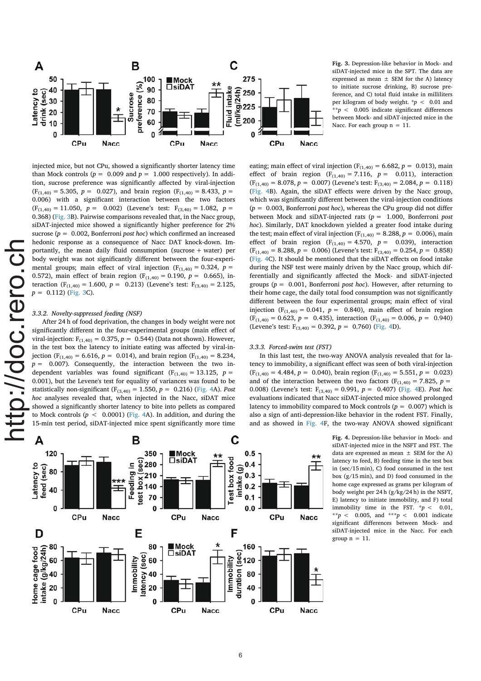

Fig. 3. Depression-like behavior in Mock- and siDAT-injected mice in the SPT. The data are expressed as mean  $\pm$  SEM for the A) latency to initiate sucrose drinking, B) sucrose preference, and C) total fluid intake in milliliters per kilogram of body weight.  $\sqrt{\frac{p}{n}} < 0.01$  and \*\*p <  $0.005$  indicate significant differences between Mock- and siDAT-injected mice in the Nacc. For each group  $n = 11$ .

injected mice, but not CPu, showed a significantly shorter latency time than Mock controls ( $p = 0.009$  and  $p = 1.000$  respectively). In addition, sucrose preference was significantly affected by viral-injection  $(F<sub>(1,40)</sub> = 5.305, p = 0.027)$ , and brain region  $(F<sub>(1,40)</sub> = 8.433, p =$ 0.006) with a significant interaction between the two factors  $(F_{(1,40)} = 11.050, p = 0.002)$  (Levene's test:  $F_{(3,40)} = 1.082, p =$ 0.368) (Fig. 3B). Pairwise comparisons revealed that, in the Nacc group, siDAT-injected mice showed a significantly higher preference for 2% sucrose ( $p = 0.002$ , Bonferroni *post hoc*) which confirmed an increased hedonic response as a consequence of Nacc DAT knock-down. Importantly, the mean daily fluid consumption (sucrose + water) per body weight was not significantly different between the four-experimental groups; main effect of viral injection ( $F_{(1,40)} = 0.324$ ,  $p =$ 0.572), main effect of brain region ( $F_{(1,40)} = 0.190$ ,  $p = 0.665$ ), interaction ( $F_{(1,40)} = 1.600$ ,  $p = 0.213$ ) (Levene's test:  $F_{(3,40)} = 2.125$ ,  $p = 0.112$ ) (Fig. 3C).

# 3.3.2. Novelty-suppressed feeding (NSF)

After 24 h of food deprivation, the changes in body weight were not significantly different in the four-experimental groups (main effect of viral-injection:  $F_{(1,40)} = 0.375$ ,  $p = 0.544$ ) (Data not shown). However, in the test box the latency to initiate eating was affected by viral-injection (F<sub>(1,40)</sub> = 6.616,  $p = 0.014$ ), and brain region (F<sub>(1,40)</sub> = 8.234,  $p = 0.007$ ). Consequently, the interaction between the two independent variables was found significant ( $F_{(1,40)} = 13.125$ ,  $p =$ 0.001), but the Levene's test for equality of variances was found to be statistically non-significant ( $F_{(3,40)} = 1.550$ ,  $p = 0.216$ ) (Fig. 4A). Post hoc analyses revealed that, when injected in the Nacc, siDAT mice showed a significantly shorter latency to bite into pellets as compared to Mock controls  $(p < 0.0001)$  (Fig. 4A). In addition, and during the 15-min test period, siDAT-injected mice spent significantly more time

effect of brain region  $(F_{(1,40)} = 7.116, p = 0.011)$ , interaction  $(F<sub>(1,40)</sub> = 8.078, p = 0.007)$  (Levene's test:  $F<sub>(3,40)</sub> = 2.084, p = 0.118)$ (Fig. 4B). Again, the siDAT effects were driven by the Nacc group, which was significantly different between the viral-injection conditions  $(p = 0.003,$  Bonferroni post hoc), whereas the CPu group did not differ between Mock and siDAT-injected rats  $(p = 1.000,$  Bonferroni post hoc). Similarly, DAT knockdown yielded a greater food intake during the test; main effect of viral injection ( $F_{(1,40)} = 8.288$ ,  $p = 0.006$ ), main effect of brain region ( $F_{(1,40)} = 4.570$ ,  $p = 0.039$ ), interaction  $(F<sub>(1,40)</sub> = 8.288, p = 0.006)$  (Levene's test:  $F<sub>(3,40)</sub> = 0.254, p = 0.858)$ (Fig. 4C). It should be mentioned that the siDAT effects on food intake during the NSF test were mainly driven by the Nacc group, which differentially and significantly affected the Mock- and siDAT-injected groups ( $p = 0.001$ , Bonferroni *post hoc*). However, after returning to their home cage, the daily total food consumption was not significantly different between the four experimental groups; main effect of viral injection ( $F_{(1,40)} = 0.041$ ,  $p = 0.840$ ), main effect of brain region  $(F<sub>(1,40)</sub> = 0.623, p = 0.435),$  interaction  $(F<sub>(1,40)</sub> = 0.006, p = 0.940)$ (Levene's test:  $F_{(3,40)} = 0.392$ ,  $p = 0.760$ ) (Fig. 4D).

eating; main effect of viral injection ( $F_{(1,40)} = 6.682$ ,  $p = 0.013$ ), main

### 3.3.3. Forced-swim test (FST)

In this last test, the two-way ANOVA analysis revealed that for latency to immobility, a significant effect was seen of both viral-injection  $(F<sub>(1,40)</sub> = 4.484, p = 0.040),$  brain region  $(F<sub>(1,40)</sub> = 5.551, p = 0.023)$ and of the interaction between the two factors ( $F_{(1,40)} = 7.825$ ,  $p =$ 0.008) (Levene's test:  $F_{(3,40)} = 0.991$ ,  $p = 0.407$ ) (Fig. 4E). Post hoc evaluations indicated that Nacc siDAT-injected mice showed prolonged latency to immobility compared to Mock controls ( $p = 0.007$ ) which is also a sign of anti-depression-like behavior in the rodent FST. Finally, and as showed in Fig. 4F, the two-way ANOVA showed significant

> Fig. 4. Depression-like behavior in Mock- and siDAT-injected mice in the NSFT and FST. The data are expressed as mean  $\pm$  SEM for the A) latency to feed, B) feeding time in the test box in (sec/15 min), C) food consumed in the test box (g/15 min), and D) food consumed in the home cage expressed as grams per kilogram of body weight per 24 h (g/kg/24 h) in the NSFT, E) latency to initiate immobility, and F) total immobility time in the FST.  $* p < 0.01$ , \*\*p < 0.005, and \*\*\*p < 0.001 indicate significant differences between Mock- and siDAT-injected mice in the Nacc. For each group  $n = 11$ .

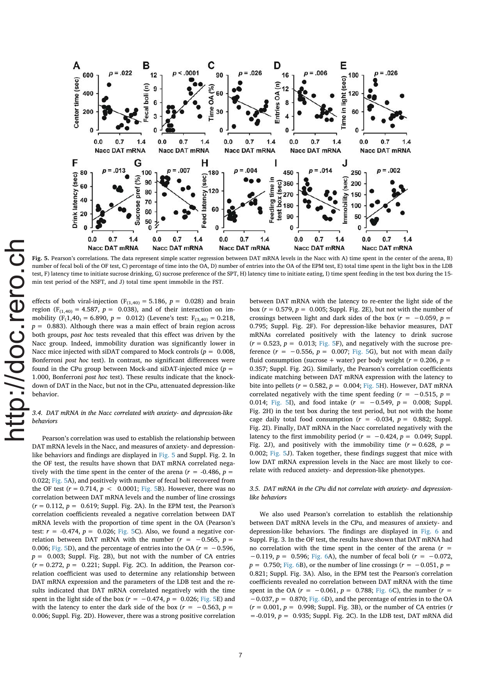

Fig. 5. Pearson's correlations. The data represent simple scatter regression between DAT mRNA levels in the Nacc with A) time spent in the center of the arena, B) number of fecal boli of the OF test, C) percentage of time into the OA, D) number of entries into the OA of the EPM test. E) total time spent in the light box in the LDB test, F) latency time to initiate sucrose drinking, G) sucrose preference of the SPT, H) latency time to initiate eating, I) time spent feeding in the test box during the 15 min test period of the NSFT, and J) total time spent immobile in the FST.

effects of both viral-injection ( $F_{(1,40)} = 5.186$ ,  $p = 0.028$ ) and brain region ( $F_{(1,40)} = 4.587$ ,  $p = 0.038$ ), and of their interaction on immobility  $(F_1, 40) = 6.890$ ,  $p = 0.012$ ) (Levene's test:  $F_{(3,40)} = 0.218$ ,  $p = 0.883$ ). Although there was a main effect of brain region across both groups, post hoc tests revealed that this effect was driven by the Nacc group. Indeed, immobility duration was significantly lower in Nacc mice injected with siDAT compared to Mock controls ( $p = 0.008$ , Bonferroni post hoc test). In contrast, no significant differences were found in the CPu group between Mock-and siDAT-injected mice  $(p =$ 1.000, Bonferroni post hoc test). These results indicate that the knockdown of DAT in the Nacc, but not in the CPu, attenuated depression-like behavior.

## 3.4. DAT mRNA in the Nacc correlated with anxiety- and depression-like behaviors

Pearson's correlation was used to establish the relationship between DAT mRNA levels in the Nacc, and measures of anxiety- and depressionlike behaviors and findings are displayed in Fig. 5 and Suppl. Fig. 2. In the OF test, the results have shown that DAT mRNA correlated negatively with the time spent in the center of the arena ( $r = -0.486$ ,  $p =$ 0.022; Fig. 5A), and positively with number of fecal boli recovered from the OF test ( $r = 0.714$ ,  $p < 0.0001$ ; Fig. 5B). However, there was no correlation between DAT mRNA levels and the number of line crossings  $(r = 0.112, p = 0.619;$  Suppl. Fig. 2A). In the EPM test, the Pearson's correlation coefficients revealed a negative correlation between DAT mRNA levels with the proportion of time spent in the OA (Pearson's test:  $r = -0.474$ ,  $p = 0.026$ ; Fig. 5C). Also, we found a negative correlation between DAT mRNA with the number ( $r = -0.565$ ,  $p =$ 0.006; Fig. 5D), and the percentage of entries into the OA ( $r = -0.596$ ,  $p = 0.003$ ; Suppl. Fig. 2B), but not with the number of CA entries  $(r = 0.272, p = 0.221$ ; Suppl. Fig. 2C). In addition, the Pearson correlation coefficient was used to determine any relationship between DAT mRNA expression and the parameters of the LDB test and the results indicated that DAT mRNA correlated negatively with the time spent in the light side of the box ( $r = -0.474$ ,  $p = 0.026$ ; Fig. 5E) and with the latency to enter the dark side of the box ( $r = -0.563$ ,  $p =$ 0.006; Suppl. Fig. 2D). However, there was a strong positive correlation between DAT mRNA with the latency to re-enter the light side of the box ( $r = 0.579$ ,  $p = 0.005$ ; Suppl. Fig. 2E), but not with the number of crossings between light and dark sides of the box ( $r = -0.059$ ,  $p =$ 0.795; Suppl. Fig. 2F). For depression-like behavior measures, DAT mRNAs correlated positively with the latency to drink sucrose  $(r = 0.523, p = 0.013;$  Fig. 5F), and negatively with the sucrose preference  $(r = -0.556, p = 0.007;$  Fig. 5G), but not with mean daily fluid consumption (sucrose + water) per body weight ( $r = 0.206$ ,  $p =$ 0.357; Suppl. Fig. 2G). Similarly, the Pearson's correlation coefficients indicate matching between DAT mRNA expression with the latency to bite into pellets ( $r = 0.582$ ,  $p = 0.004$ ; Fig. 5H). However, DAT mRNA correlated negatively with the time spent feeding ( $r = -0.515$ ,  $p =$ 0.014; Fig. 5I), and food intake  $(r = -0.549, p = 0.008;$  Suppl. Fig. 2H) in the test box during the test period, but not with the home cage daily total food consumption  $(r = -0.034, p = 0.882;$  Suppl. Fig. 2I). Finally, DAT mRNA in the Nacc correlated negatively with the latency to the first immobility period ( $r = -0.424$ ,  $p = 0.049$ ; Suppl. Fig. 2J), and positively with the immobility time ( $r = 0.628$ ,  $p =$ 0.002; Fig. 5J). Taken together, these findings suggest that mice with low DAT mRNA expression levels in the Nacc are most likely to correlate with reduced anxiety- and depression-like phenotypes.

### 3.5. DAT mRNA in the CPu did not correlate with anxiety- and depressionlike behaviors

We also used Pearson's correlation to establish the relationship between DAT mRNA levels in the CPu, and measures of anxiety- and depression-like behaviors. The findings are displayed in Fig. 6 and Suppl. Fig. 3. In the OF test, the results have shown that DAT mRNA had no correlation with the time spent in the center of the arena  $(r =$  $-0.119$ ,  $p = 0.596$ ; Fig. 6A), the number of fecal boli ( $r = -0.072$ ,  $p = 0.750$ ; Fig. 6B), or the number of line crossings ( $r = -0.051$ ,  $p =$ 0.821; Suppl. Fig. 3A). Also, in the EPM test the Pearson's correlation coefficients revealed no correlation between DAT mRNA with the time spent in the OA ( $r = -0.061$ ,  $p = 0.788$ ; Fig. 6C), the number ( $r =$  $-0.037$ ,  $p = 0.870$ ; Fig. 6D), and the percentage of entries in to the OA  $(r = 0.001, p = 0.998;$  Suppl. Fig. 3B), or the number of CA entries (*r*  $=$  -0.019,  $p = 0.935$ ; Suppl. Fig. 2C). In the LDB test, DAT mRNA did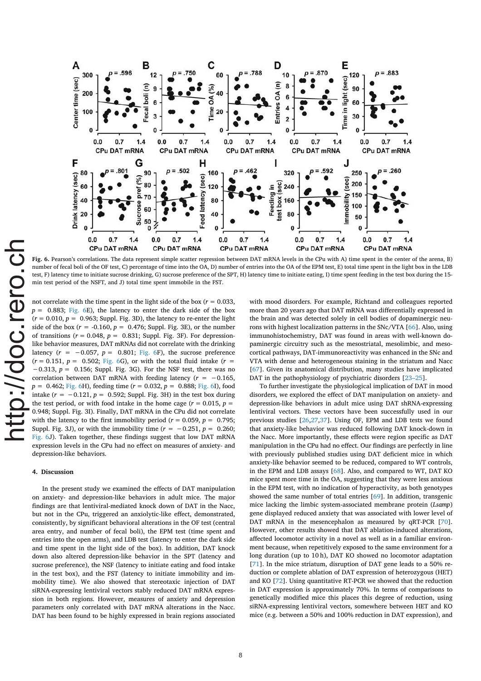

Fig. 6. Pearson's correlations. The data represent simple scatter regression between DAT mRNA levels in the CPu with A) time spent in the center of the arena, B) number of fecal boli of the OF test, C) percentage of time into the OA, D) number of entries into the OA of the EPM test, E) total time spent in the light box in the LDB test, F) latency time to initiate sucrose drinking, G) sucrose preference of the SPT, H) latency time to initiate eating, I) time spent feeding in the test box during the 15 min test period of the NSFT, and J) total time spent immobile in the FST.

not correlate with the time spent in the light side of the box ( $r = 0.033$ ,  $p = 0.883$ ; Fig. 6E), the latency to enter the dark side of the box  $(r = 0.010, p = 0.963;$  Suppl. Fig. 3D), the latency to re-enter the light side of the box ( $r = -0.160$ ,  $p = 0.476$ ; Suppl. Fig. 3E), or the number of transitions ( $r = 0.048$ ,  $p = 0.831$ ; Suppl. Fig. 3F). For depressionlike behavior measures, DAT mRNAs did not correlate with the drinking latency  $(r = -0.057, p = 0.801;$  Fig. 6F), the sucrose preference  $(r = 0.151, p = 0.502;$  Fig. 6G), or with the total fluid intake  $(r =$  $-0.313$ ,  $p = 0.156$ ; Suppl. Fig. 3G). For the NSF test, there was no correlation between DAT mRNA with feeding latency ( $r = -0.165$ ,  $p = 0.462$ ; Fig. 6H), feeding time ( $r = 0.032$ ,  $p = 0.888$ ; Fig. 6I), food intake  $(r = -0.121, p = 0.592$ ; Suppl. Fig. 3H) in the test box during the test period, or with food intake in the home cage ( $r = 0.015$ ,  $p =$ 0.948; Suppl. Fig. 3I). Finally, DAT mRNA in the CPu did not correlate with the latency to the first immobility period ( $r = 0.059$ ,  $p = 0.795$ ; Suppl. Fig. 3J), or with the immobility time ( $r = -0.251$ ,  $p = 0.260$ ; Fig. 6J). Taken together, these findings suggest that low DAT mRNA expression levels in the CPu had no effect on measures of anxiety- and depression-like behaviors.

### 4. Discussion

In the present study we examined the effects of DAT manipulation on anxiety- and depression-like behaviors in adult mice. The major findings are that lentiviral-mediated knock down of DAT in the Nacc, but not in the CPu, triggered an anxiolytic-like effect, demonstrated, consistently, by significant behavioral alterations in the OF test (central area entry, and number of fecal boli), the EPM test (time spent and entries into the open arms), and LDB test (latency to enter the dark side and time spent in the light side of the box). In addition, DAT knock down also altered depression-like behavior in the SPT (latency and sucrose preference), the NSF (latency to initiate eating and food intake in the test box), and the FST (latency to initiate immobility and immobility time). We also showed that stereotaxic injection of DAT siRNA-expressing lentiviral vectors stably reduced DAT mRNA expression in both regions. However, measures of anxiety and depression parameters only correlated with DAT mRNA alterations in the Nacc. DAT has been found to be highly expressed in brain regions associated with mood disorders. For example, Richtand and colleagues reported more than 20 years ago that DAT mRNA was differentially expressed in the brain and was detected solely in cell bodies of dopaminergic neurons with highest localization patterns in the SNc/VTA [66]. Also, using immunohistochemistry, DAT was found in areas with well-known dopaminergic circuitry such as the mesostriatal, mesolimbic, and mesocortical pathways, DAT-immunoreactivity was enhanced in the SNc and VTA with dense and heterogeneous staining in the striatum and Nacc [67]. Given its anatomical distribution, many studies have implicated DAT in the pathophysiology of psychiatric disorders [23–25].

To further investigate the physiological implication of DAT in mood disorders, we explored the effect of DAT manipulation on anxiety- and depression-like behaviors in adult mice using DAT shRNA-expressing lentiviral vectors. These vectors have been successfully used in our previous studies [26,27,37]. Using OF, EPM and LDB tests we found that anxiety-like behavior was reduced following DAT knock-down in the Nacc. More importantly, these effects were region specific as DAT manipulation in the CPu had no effect. Our findings are perfectly in line with previously published studies using DAT deficient mice in which anxiety-like behavior seemed to be reduced, compared to WT controls, in the EPM and LDB assays [68]. Also, and compared to WT, DAT KO mice spent more time in the OA, suggesting that they were less anxious in the EPM test, with no indication of hyperactivity, as both genotypes showed the same number of total entries [69]. In addition, transgenic mice lacking the limbic system-associated membrane protein (Lsamp) gene displayed reduced anxiety that was associated with lower level of DAT mRNA in the mesencephalon as measured by qRT-PCR [70]. However, other results showed that DAT ablation-induced alterations, affected locomotor activity in a novel as well as in a familiar environment because, when repetitively exposed to the same environment for a long duration (up to 10 h), DAT KO showed no locomotor adaptation [71]. In the mice striatum, disruption of DAT gene leads to a 50% reduction or complete ablation of DAT expression of heterozygous (HET) and KO [72]. Using quantitative RT-PCR we showed that the reduction in DAT expression is approximately 70%. In terms of comparisons to genetically modified mice this places this degree of reduction, using siRNA-expressing lentiviral vectors, somewhere between HET and KO mice (e.g. between a 50% and 100% reduction in DAT expression), and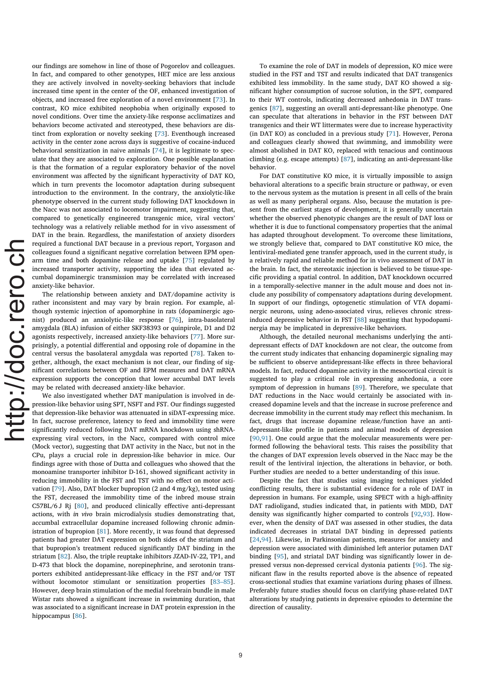our findings are somehow in line of those of Pogorelov and colleagues. In fact, and compared to other genotypes, HET mice are less anxious they are actively involved in novelty-seeking behaviors that include increased time spent in the center of the OF, enhanced investigation of objects, and increased free exploration of a novel environment [73]. In contrast, KO mice exhibited neophobia when originally exposed to novel conditions. Over time the anxiety-like response acclimatizes and behaviors become activated and stereotyped, these behaviors are distinct from exploration or novelty seeking [73]. Eventhough increased activity in the center zone across days is suggestive of cocaine-induced behavioral sensitization in naive animals [74], it is legitimate to speculate that they are associated to exploration. One possible explanation is that the formation of a regular exploratory behavior of the novel environment was affected by the significant hyperactivity of DAT KO, which in turn prevents the locomotor adaptation during subsequent introduction to the environment. In the contrary, the anxiolytic-like phenotype observed in the current study following DAT knockdown in the Nacc was not associated to locomotor impairment, suggesting that, compared to genetically engineered transgenic mice, viral vectors' technology was a relatively reliable method for in vivo assessment of DAT in the brain. Regardless, the manifestation of anxiety disorders required a functional DAT because in a previous report, Yorgason and colleagues found a significant negative correlation between EPM openarm time and both dopamine release and uptake [75] regulated by increased transporter activity, supporting the idea that elevated accumbal dopaminergic transmission may be correlated with increased anxiety-like behavior.

The relationship between anxiety and DAT/dopamine activity is rather inconsistent and may vary by brain region. For example, although systemic injection of apomorphine in rats (dopaminergic agonist) produced an anxiolytic-like response [76], intra-basolateral amygdala (BLA) infusion of either SKF38393 or quinpirole, D1 and D2 agonists respectively, increased anxiety-like behaviors [77]. More surprisingly, a potential differential and opposing role of dopamine in the central versus the basolateral amygdala was reported [78]. Taken together, although, the exact mechanism is not clear, our finding of significant correlations between OF and EPM measures and DAT mRNA expression supports the conception that lower accumbal DAT levels may be related with decreased anxiety-like behavior.

We also investigated whether DAT manipulation is involved in depression-like behavior using SPT, NSFT and FST. Our findings suggested that depression-like behavior was attenuated in siDAT-expressing mice. In fact, sucrose preference, latency to feed and immobility time were significantly reduced following DAT mRNA knockdown using shRNAexpressing viral vectors, in the Nacc, compared with control mice (Mock vector), suggesting that DAT activity in the Nacc, but not in the CPu, plays a crucial role in depression-like behavior in mice. Our findings agree with those of Dutta and colleagues who showed that the monoamine transporter inhibitor D-161, showed significant activity in reducing immobility in the FST and TST with no effect on motor activation [79]. Also, DAT blocker bupropion (2 and 4 mg/kg), tested using the FST, decreased the immobility time of the inbred mouse strain C57BL/6 J Rj [80], and produced clinically effective anti-depressant actions, with in vivo brain microdialysis studies demonstrating that, accumbal extracellular dopamine increased following chronic administration of bupropion [81]. More recently, it was found that depressed patients had greater DAT expression on both sides of the striatum and that bupropion's treatment reduced significantly DAT binding in the striatum [82]. Also, the triple reuptake inhibitors JZAD-IV-22, TP1, and D-473 that block the dopamine, norepinephrine, and serotonin transporters exhibited antidepressant-like efficacy in the FST and/or TST without locomotor stimulant or sensitization properties [83–85]. However, deep brain stimulation of the medial forebrain bundle in male Wistar rats showed a significant increase in swimming duration, that was associated to a significant increase in DAT protein expression in the hippocampus [86].

To examine the role of DAT in models of depression, KO mice were studied in the FST and TST and results indicated that DAT transgenics exhibited less immobility. In the same study, DAT KO showed a significant higher consumption of sucrose solution, in the SPT, compared to their WT controls, indicating decreased anhedonia in DAT transgenics [87], suggesting an overall anti-depressant-like phenotype. One can speculate that alterations in behavior in the FST between DAT transgenics and their WT littermates were due to increase hyperactivity (in DAT KO) as concluded in a previous study [71]. However, Perona and colleagues clearly showed that swimming, and immobility were almost abolished in DAT KO, replaced with tenacious and continuous climbing (e.g. escape attempts) [87], indicating an anti-depressant-like behavior.

For DAT constitutive KO mice, it is virtually impossible to assign behavioral alterations to a specific brain structure or pathway, or even to the nervous system as the mutation is present in all cells of the brain as well as many peripheral organs. Also, because the mutation is present from the earliest stages of development, it is generally uncertain whether the observed phenotypic changes are the result of DAT loss or whether it is due to functional compensatory properties that the animal has adapted throughout development. To overcome these limitations, we strongly believe that, compared to DAT constitutive KO mice, the lentiviral-mediated gene transfer approach, used in the current study, is a relatively rapid and reliable method for in vivo assessment of DAT in the brain. In fact, the stereotaxic injection is believed to be tissue-specific providing a spatial control. In addition, DAT knockdown occurred in a temporally-selective manner in the adult mouse and does not include any possibility of compensatory adaptations during development. In support of our findings, optogenetic stimulation of VTA dopaminergic neurons, using adeno-associated virus, relieves chronic stressinduced depressive behavior in FST [88] suggesting that hypodopaminergia may be implicated in depressive-like behaviors.

Although, the detailed neuronal mechanisms underlying the antidepressant effects of DAT knockdown are not clear, the outcome from the current study indicates that enhancing dopaminergic signaling may be sufficient to observe antidepressant-like effects in three behavioral models. In fact, reduced dopamine activity in the mesocortical circuit is suggested to play a critical role in expressing anhedonia, a core symptom of depression in humans [89]. Therefore, we speculate that DAT reductions in the Nacc would certainly be associated with increased dopamine levels and that the increase in sucrose preference and decrease immobility in the current study may reflect this mechanism. In fact, drugs that increase dopamine release/function have an antidepressant-like profile in patients and animal models of depression [90,91]. One could argue that the molecular measurements were performed following the behavioral tests. This raises the possibility that the changes of DAT expression levels observed in the Nacc may be the result of the lentiviral injection, the alterations in behavior, or both. Further studies are needed to a better understanding of this issue.

Despite the fact that studies using imaging techniques yielded conflicting results, there is substantial evidence for a role of DAT in depression in humans. For example, using SPECT with a high-affinity DAT radioligand, studies indicated that, in patients with MDD, DAT density was significantly higher comparted to controls [92,93]. However, when the density of DAT was assessed in other studies, the data indicated decreases in striatal DAT binding in depressed patients [24,94]. Likewise, in Parkinsonian patients, measures for anxiety and depression were associated with diminished left anterior putamen DAT binding [95], and striatal DAT binding was significantly lower in depressed versus non-depressed cervical dystonia patients [96]. The significant flaw in the results reported above is the absence of repeated cross-sectional studies that examine variations during phases of illness. Preferably future studies should focus on clarifying phase-related DAT alterations by studying patients in depressive episodes to determine the direction of causality.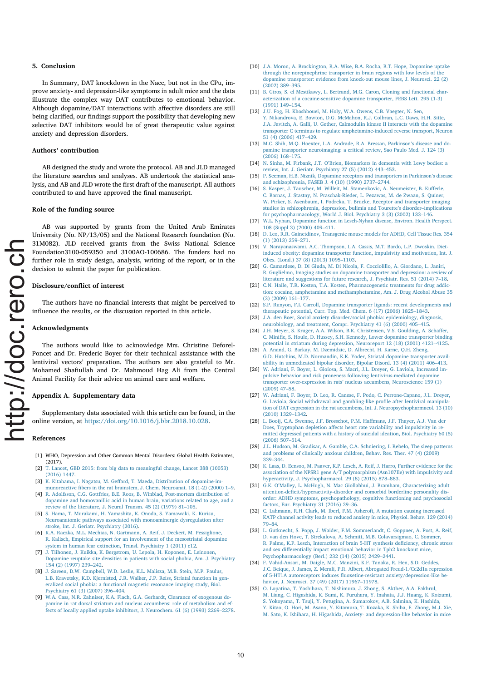### 5. Conclusion

In Summary, DAT knockdown in the Nacc, but not in the CPu, improve anxiety- and depression-like symptoms in adult mice and the data illustrate the complex way DAT contributes to emotional behavior. Although dopamine/DAT interactions with affective disorders are still being clarified, our findings support the possibility that developing new selective DAT inhibitors would be of great therapeutic value against anxiety and depression disorders.

### Authors' contribution

AB designed the study and wrote the protocol. AB and JLD managed the literature searches and analyses. AB undertook the statistical analysis, and AB and JLD wrote the first draft of the manuscript. All authors contributed to and have approved the final manuscript.

#### Role of the funding source

AB was supported by grants from the United Arab Emirates University (No. NP/13/05) and the National Research foundation (No. 31M082). JLD received grants from the Swiss National Science Foundation3100-059350 and 3100AO-100686. The funders had no further role in study design, analysis, writing of the report, or in the decision to submit the paper for publication.

### Disclosure/conflict of interest

The authors have no financial interests that might be perceived to influence the results, or the discussion reported in this article.

#### Acknowledgments

The authors would like to acknowledge Mrs. Christine Deforel-Poncet and Dr. Frederic Boyer for their technical assistance with the lentiviral vectors' preparation. The authors are also grateful to Mr. Mohamed Shafiullah and Dr. Mahmoud Hag Ali from the Central Animal Facility for their advice on animal care and welfare.

#### Appendix A. Supplementary data

Supplementary data associated with this article can be found, in the online version, at https://doi.org/10.1016/j.bbr.2018.10.028.

### References

- [1] WHO, Depression and Other Common Mental Disorders: Global Health Estimates, (2017).
- [2] T. Lancet, GBD 2015: from big data to meaningful change, Lancet 388 (10053) (2016) 1447.
- [3] K. Kitahama, I. Nagatsu, M. Geffard, T. Maeda, Distribution of dopamine-immunoreactive fibers in the rat brainstem, J. Chem. Neuroanat. 18 (1-2) (2000) 1–9.
- [4] R. Adolfsson, C.G. Gottfries, B.E. Roos, B. Winblad, Post-mortem distribution of dopamine and homovanillic acid in human brain, variations related to age, and a review of the literature, J. Neural Transm. 45 (2) (1979) 81–105.
- [5] S. Hama, T. Murakami, H. Yamashita, K. Onoda, S. Yamawaki, K. Kurisu, Neuroanatomic pathways associated with monoaminergic dysregulation after stroke, Int. J. Geriatr. Psychiatry (2016).
- K.A. Raczka, M.L. Mechias, N. Gartmann, A. Reif, J. Deckert, M. Pessiglione, R. Kalisch, Empirical support for an involvement of the mesostriatal dopamine system in human fear extinction, Transl. Psychiatry 1 (2011) e12.
- [7] J. Tiihonen, J. Kuikka, K. Bergstrom, U. Lepola, H. Koponen, E. Leinonen, Dopamine reuptake site densities in patients with social phobia, Am. J. Psychiatry 154 (2) (1997) 239–242.
- [8] J. Sareen, D.W. Campbell, W.D. Leslie, K.L. Malisza, M.B. Stein, M.P. Paulus, L.B. Kravetsky, K.D. Kjernisted, J.R. Walker, J.P. Reiss, Striatal function in generalized social phobia: a functional magnetic resonance imaging study, Biol. Psychiatry 61 (3) (2007) 396–404.
- [9] W.A. Cass, N.R. Zahniser, K.A. Flach, G.A. Gerhardt, Clearance of exogenous dopamine in rat dorsal striatum and nucleus accumbens: role of metabolism and effects of locally applied uptake inhibitors, J. Neurochem. 61 (6) (1993) 2269–2278.
- [10] J.A. Moron, A. Brockington, R.A. Wise, B.A. Rocha, B.T. Hope, Dopamine uptake through the norepinephrine transporter in brain regions with low levels of the dopamine transporter: evidence from knock-out mouse lines, J. Neurosci. 22 (2) (2002) 389–395.
- [11] B. Giros, S. el Mestikawy, L. Bertrand, M.G. Caron, Cloning and functional characterization of a cocaine-sensitive dopamine transporter, FEBS Lett. 295 (1-3) (1991) 149–154.
- [12] J.U. Fog, H. Khoshbouei, M. Holy, W.A. Owens, C.B. Vaegter, N. Sen, Y. Nikandrova, E. Bowton, D.G. McMahon, R.J. Colbran, L.C. Daws, H.H. Sitte, J.A. Javitch, A. Galli, U. Gether, Calmodulin kinase II interacts with the dopamine transporter C terminus to regulate amphetamine-induced reverse transport, Neuron 51 (4) (2006) 417–429.
- [13] M.C. Shih, M.Q. Hoexter, L.A. Andrade, R.A. Bressan, Parkinson's disease and dopamine transporter neuroimaging: a critical review, Sao Paulo Med. J. 124 (3)  $(2006)$  168–175.
- [14] N. Sinha, M. Firbank, J.T. O'Brien, Biomarkers in dementia with Lewy bodies: a review, Int. J. Geriatr. Psychiatry 27 (5) (2012) 443–453.
- [15] P. Seeman, H.B. Niznik, Dopamine receptors and transporters in Parkinson's disease and schizophrenia, FASEB J. 4 (10) (1990) 2737–2744.
- [16] S. Kasper, J. Tauscher, M. Willeit, M. Stamenkovic, A. Neumeister, B. Kufferle, C. Barnas, J. Stastny, N. Praschak-Rieder, L. Pezawas, M. de Zwaan, S. Quiner, W. Pirker, S. Asenbaum, I. Podreka, T. Brucke, Receptor and transporter imaging studies in schizophrenia, depression, bulimia and Tourette's disorder–implications for psychopharmacology, World J. Biol. Psychiatry 3 (3) (2002) 133–146.
- [17] W.L. Nyhan, Dopamine function in Lesch-Nyhan disease, Environ. Health Perspect. 108 (Suppl 3) (2000) 409–411.
- [18] D. Leo, R.R. Gainetdinov, Transgenic mouse models for ADHD, Cell Tissue Res. 354 (1) (2013) 259–271.
- [19] V. Narayanaswami, A.C. Thompson, L.A. Cassis, M.T. Bardo, L.P. Dwoskin, Dietinduced obesity: dopamine transporter function, impulsivity and motivation, Int. J. Obes. (Lond.) 37 (8) (2013) 1095–1103.
- [20] G. Camardese, D. Di Giuda, M. Di Nicola, F. Cocciolillo, A. Giordano, L. Janiri, R. Guglielmo, Imaging studies on dopamine transporter and depression: a review of literature and suggestions for future research, J. Psychiatr. Res. 51 (2014) 7–18.
- [21] C.N. Haile, T.R. Kosten, T.A. Kosten, Pharmacogenetic treatments for drug addiction: cocaine, amphetamine and methamphetamine, Am. J. Drug Alcohol Abuse 35 (3) (2009) 161–177.
- [22] S.P. Runyon, F.I. Carroll, Dopamine transporter ligands: recent developments and therapeutic potential, Curr. Top. Med. Chem. 6 (17) (2006) 1825–1843.
- [23] J.A. den Boer, Social anxiety disorder/social phobia: epidemiology, diagnosis, neurobiology, and treatment, Compr. Psychiatry 41 (6) (2000) 405–415.
- [24] J.H. Meyer, S. Kruger, A.A. Wilson, B.K. Christensen, V.S. Goulding, A. Schaffer, C. Minifie, S. Houle, D. Hussey, S.H. Kennedy, Lower dopamine transporter binding potential in striatum during depression, Neuroreport 12 (18) (2001) 4121–4125.
- [25] A. Anand, G. Barkay, M. Dzemidzic, D. Albrecht, H. Karne, Q.H. Zheng, G.D. Hutchins, M.D. Normandin, K.K. Yoder, Striatal dopamine transporter availability in unmedicated bipolar disorder, Bipolar Disord. 13 (4) (2011) 406–413.
- [26] W. Adriani, F. Boyer, L. Gioiosa, S. Macri, J.L. Dreyer, G. Laviola, Increased impulsive behavior and risk proneness following lentivirus-mediated dopamine transporter over-expression in rats' nucleus accumbens, Neuroscience 159 (1)  $(2009)$  47–58.
- [27] W. Adriani, F. Boyer, D. Leo, R. Canese, F. Podo, C. Perrone-Capano, J.L. Dreyer, G. Laviola, Social withdrawal and gambling-like profile after lentiviral manipulation of DAT expression in the rat accumbens, Int. J. Neuropsychopharmacol. 13 (10) (2010) 1329–1342.
- [28] L. Booij, C.A. Swenne, J.F. Brosschot, P.M. Haffmans, J.F. Thayer, A.J. Van der Does, Tryptophan depletion affects heart rate variability and impulsivity in remitted depressed patients with a history of suicidal ideation, Biol. Psychiatry 60 (5) (2006) 507–514.
- [29] J.L. Hudson, M. Gradisar, A. Gamble, C.A. Schniering, I. Rebelo, The sleep patterns and problems of clinically anxious children, Behav. Res. Ther. 47 (4) (2009) 339–344.
- [30] K. Laas, D. Eensoo, M. Paaver, K.P. Lesch, A. Reif, J. Harro, Further evidence for the association of the NPSR1 gene A/T polymorphism (Asn107Ile) with impulsivity and hyperactivity, J. Psychopharmacol. 29 (8) (2015) 878–883.
- [31] G.K. O'Malley, L. McHugh, N. Mac Giollabhui, J. Bramham, Characterizing adult attention-deficit/hyperactivity-disorder and comorbid borderline personality disorder: ADHD symptoms, psychopathology, cognitive functioning and psychosocial factors, Eur. Psychiatry 31 (2016) 29–36.
- [32] C. Lahmann, R.H. Clark, M. Iberl, F.M. Ashcroft, A mutation causing increased KATP channel activity leads to reduced anxiety in mice, Physiol. Behav. 129 (2014) 79–84.
- [33] L. Gutknecht, S. Popp, J. Waider, F.M. Sommerlandt, C. Goppner, A. Post, A. Reif, D. van den Hove, T. Strekalova, A. Schmitt, M.B. Colavarsigmao, C. Sommer, R. Palme, K.P. Lesch, Interaction of brain 5-HT synthesis deficiency, chronic stress and sex differentially impact emotional behavior in Tph2 knockout mice, Psychopharmacology (Berl.) 232 (14) (2015) 2429–2441.
- [34] F. Vahid-Ansari, M. Daigle, M.C. Manzini, K.F. Tanaka, R. Hen, S.D. Geddes, J.C. Beique, J. James, Z. Merali, P.R. Albert, Abrogated Freud-1/Cc2d1a repression of 5-HT1A autoreceptors induces fluoxetine-resistant anxiety/depression-like behavior, J. Neurosci. 37 (49) (2017) 11967–11978.
- [35] O. Lopatina, T. Yoshihara, T. Nishimura, J. Zhong, S. Akther, A.A. Fakhrul, M. Liang, C. Higashida, K. Sumi, K. Furuhara, Y. Inahata, J.J. Huang, K. Koizumi, S. Yokoyama, T. Tsuji, Y. Petugina, A. Sumarokov, A.B. Salmina, K. Hashida, Y. Kitao, O. Hori, M. Asano, Y. Kitamura, T. Kozaka, K. Shiba, F. Zhong, M.J. Xie, M. Sato, K. Ishihara, H. Higashida, Anxiety- and depression-like behavior in mice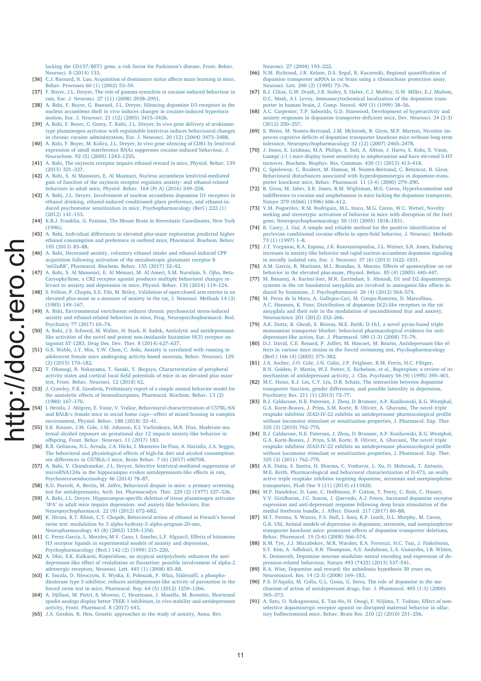lacking the CD157/BST1 gene, a risk factor for Parkinson's disease, Front. Behav. Neurosci. 8 (2014) 133.

- [36] C.J. Barnard, N. Luo, Acquisition of dominance status affects maze learning in mice, Behav. Processes 60 (1) (2002) 53–59.
- [37] F. Boyer, J.L. Dreyer, The role of gamma-synuclein in cocaine-induced behaviour in rats, Eur. J. Neurosci. 27 (11) (2008) 2938–2951.
- [38] A. Bahi, F. Boyer, G. Bussard, J.L. Dreyer, Silencing dopamine D3-receptors in the nucleus accumbens shell in vivo induces changes in cocaine-induced hyperlocomotion, Eur. J. Neurosci. 21 (12) (2005) 3415–3426.
- [39] A. Bahi, F. Boyer, C. Gumy, T. Kafri, J.L. Dreyer, In vivo gene delivery of urokinasetype plasminogen activator with regulatable lentivirus induces behavioural changes in chronic cocaine administration, Eur. J. Neurosci. 20 (12) (2004) 3473–3488.
- [40] A. Bahi, F. Boyer, M. Kolira, J.L. Dreyer, In vivo gene silencing of CD81 by lentiviral expression of small interference RNAs suppresses cocaine-induced behaviour, J. Neurochem. 92 (5) (2005) 1243–1255.
- [41] A. Bahi, The oxytocin receptor impairs ethanol reward in mice, Physiol. Behav. 139 (2015) 321–327.
- [42] A. Bahi, S. Al Mansouri, E. Al Maamari, Nucleus accumbens lentiviral-mediated gain of function of the oxytocin receptor regulates anxiety- and ethanol-related behaviors in adult mice, Physiol. Behav. 164 (Pt A) (2016) 249–258.
- [43] A. Bahi, J.L. Dreyer, Involvement of nucleus accumbens dopamine D1 receptors in ethanol drinking, ethanol-induced conditioned place preference, and ethanol-induced psychomotor sensitization in mice, Psychopharmacology (Berl.) 222 (1) (2012) 141–153.
- [44] K.B.J. Franklin, G. Paxinos, The Mouse Brain in Stereotaxic Coordinates, New York (1996).
- [45] A. Bahi, Individual differences in elevated plus-maze exploration predicted higher ethanol consumption and preference in outbred mice, Pharmacol. Biochem. Behav. 105 (2013) 83–88.
- [46] A. Bahi, Decreased anxiety, voluntary ethanol intake and ethanol-induced CPP acquisition following activation of the metabotropic glutamate receptor 8 "mGluR8", Pharmacol. Biochem. Behav. 155 (2017) 32–42.
- [47] A. Bahi, S. Al Mansouri, E. Al Memari, M. Al Ameri, S.M. Nurulain, S. Ojha, Beta-Caryophyllene, a CB2 receptor agonist produces multiple behavioral changes relevant to anxiety and depression in mice, Physiol. Behav. 135 (2014) 119–124.
- [48] S. Pellow, P. Chopin, S.E. File, M. Briley, Validation of open:closed arm entries in an elevated plus-maze as a measure of anxiety in the rat, J. Neurosci. Methods 14 (3) (1985) 149–167.
- [49] A. Bahi, Environmental enrichment reduces chronic psychosocial stress-induced anxiety and ethanol-related behaviors in mice, Prog. Neuropsychopharmacol. Biol. Psychiatry 77 (2017) 65–74.
- [50] A. Bahi, J.S. Schwed, M. Walter, H. Stark, B. Sadek, Anxiolytic and antidepressantlike activities of the novel and potent non-imidazole histamine H(3) receptor antagonist ST-1283, Drug Des. Dev. Ther. 8 (2014) 627–637.
- [51] G.S. Wable, J.Y. Min, Y.W. Chen, C. Aoki, Anxiety is correlated with running in adolescent female mice undergoing activity-based anorexia, Behav. Neurosci. 129 (2) (2015) 170–182.
- [52] T. Okonogi, R. Nakayama, T. Sasaki, Y. Ikegaya, Characterization of peripheral activity states and cortical local field potentials of mice in an elevated plus maze test, Front. Behav. Neurosci. 12 (2018) 62.
- [53] J. Crawley, F.K. Goodwin, Preliminary report of a simple animal behavior model for the anxiolytic effects of benzodiazepines, Pharmacol. Biochem. Behav. 13 (2) (1980) 167–170.
- [54] I. Heinla, J. Ahlgren, E. Vasar, V. Voikar, Behavioural characterization of C57BL/6N and BALB/c female mice in social home cage—effect of mixed housing in complex environment, Physiol. Behav. 188 (2018) 32–41.
- [55] S.K. Rouzer, J.M. Cole, J.M. Johnson, E.I. Varlinskaya, M.R. Diaz, Moderate maternal alcohol exposure on gestational day 12 impacts anxiety-like behavior in offspring, Front. Behav. Neurosci. 11 (2017) 183.
- [56] R.R. Gelineau, N.L. Arruda, J.A. Hicks, I. Monteiro De Pina, A. Hatzidis, J.A. Seggio, The behavioral and physiological effects of high-fat diet and alcohol consumption:
- sex differences in C57BL6/J mice, Brain Behav. 7 (6) (2017) e00708. [57] A. Bahi, V. Chandrasekar, J.L. Dreyer, Selective lentiviral-mediated suppression of microRNA124a in the hippocampus evokes antidepressants-like effects in rats, Psychoneuroendocrinology 46 (2014) 78–87.
- [58] R.D. Porsolt, A. Bertin, M. Jalfre, Behavioral despair in mice: a primary screening test for antidepressants, Arch. Int. Pharmacodyn. Ther. 229 (2) (1977) 327–336.
- [59] A. Bahi, J.L. Dreyer, Hippocampus-specific deletion of tissue plasminogen activator "tPA" in adult mice impairs depression- and anxiety-like behaviors, Eur. Neuropsychopharmacol. 22 (9) (2012) 672–682.
- [60] K. Hirani, R.T. Khisti, C.T. Chopde, Behavioral action of ethanol in Porsolt's forced swim test: modulation by 3 alpha-hydroxy-5 alpha-pregnan-20-one, Neuropharmacology 43 (8) (2002) 1339–1350.
- [61] C. Perez-Garcia, L. Morales, M.V. Cano, I. Sancho, L.F. Alguacil, Effects of histamine H3 receptor ligands in experimental models of anxiety and depression, Psychopharmacology (Berl.) 142 (2) (1999) 215–220.
- [62] A. Dhir, S.K. Kulkarni, Risperidone, an atypical antipsychotic enhances the antidepressant-like effect of venlafaxine or fluoxetine: possible involvement of alpha-2 adrenergic receptors, Neurosci. Lett. 445 (1) (2008) 83–88.
- [63] K. Socala, D. Nieoczym, E. Wyska, E. Poleszak, P. Wlaz, Sildenafil, a phosphodiesterase type 5 inhibitor, reduces antidepressant-like activity of paroxetine in the forced swim test in mice, Pharmacol. Rep. 64 (5) (2012) 1259–1266.
- [64] A. Djillani, M. Pietri, S. Moreno, C. Heurteaux, J. Mazella, M. Borsotto, Shortened spadin analogs display better TREK-1 inhibition, in vivo stability and antidepressant activity, Front. Pharmacol. 8 (2017) 643.
- [65] J.A. Gordon, R. Hen, Genetic approaches to the study of anxiety, Annu. Rev.

Neurosci. 27 (2004) 193–222.

- [66] N.M. Richtand, J.R. Kelsoe, D.S. Segal, R. Kuczenski, Regional quantification of dopamine transporter mRNA in rat brain using a ribonuclease protection assay, Neurosci. Lett. 200 (2) (1995) 73–76.
- [67] B.J. Ciliax, G.W. Drash, J.K. Staley, S. Haber, C.J. Mobley, G.W. Miller, E.J. Mufson, D.C. Mash, A.I. Levey, Immunocytochemical localization of the dopamine transporter in human brain, J. Comp. Neurol. 409 (1) (1999) 38–56.
- [68] A.C. Carpenter, T.P. Saborido, G.D. Stanwood, Development of hyperactivity and anxiety responses in dopamine transporter-deficient mice, Dev. Neurosci. 34 (2-3) (2012) 250–257.
- [69] S. Weiss, M. Nosten-Bertrand, J.M. McIntosh, B. Giros, M.P. Martres, Nicotine improves cognitive deficits of dopamine transporter knockout mice without long-term tolerance, Neuropsychopharmacology 32 (12) (2007) 2465–2478.
- [70] J. Innos, E. Leidmaa, M.A. Philips, S. Sutt, A. Alttoa, J. Harro, S. Koks, E. Vasar, Lsamp(-)/(-) mice display lower sensitivity to amphetamine and have elevated 5-HT turnover, Biochem. Biophys. Res. Commun. 430 (1) (2013) 413–418.
- [71] C. Spielewoy, C. Roubert, M. Hamon, M. Nosten-Bertrand, C. Betancur, B. Giros, Behavioural disturbances associated with hyperdopaminergia in dopamine-transporter knockout mice, Behav. Pharmacol. 11 (3-4) (2000) 279–290.
- [72] B. Giros, M. Jaber, S.R. Jones, R.M. Wightman, M.G. Caron, Hyperlocomotion and indifference to cocaine and amphetamine in mice lacking the dopamine transporter, Nature 379 (6566) (1996) 606–612.
- [73] V.M. Pogorelov, R.M. Rodriguiz, M.L. Insco, M.G. Caron, W.C. Wetsel, Novelty seeking and stereotypic activation of behavior in mice with disruption of the Dat1 gene, Neuropsychopharmacology 30 (10) (2005) 1818–1831.
- [74] R. Carey, J. Gui, A simple and reliable method for the positive identification of pavlovian conditioned cocaine effects in open-field behavior, J. Neurosci. Methods 73 (1) (1997) 1–8.
- [75] J.T. Yorgason, R.A. Espana, J.K. Konstantopoulos, J.L. Weiner, S.R. Jones, Enduring increases in anxiety-like behavior and rapid nucleus accumbens dopamine signaling in socially isolated rats, Eur. J. Neurosci. 37 (6) (2013) 1022–1031.
- [76] A.M. Garcia, R. Martinez, M.L. Brandao, S. Morato, Effects of apomorphine on rat behavior in the elevated plus-maze, Physiol. Behav. 85 (4) (2005) 440–447.
- [77] M. Bananej, A. Karimi-Sori, M.R. Zarrindast, S. Ahmadi, D1 and D2 dopaminergic systems in the rat basolateral amygdala are involved in anxiogenic-like effects induced by histamine, J. Psychopharmacol. 26 (4) (2012) 564–574.
- [78] M. Perez de la Mora, A. Gallegos-Cari, M. Crespo-Ramirez, D. Marcellino, A.C. Hansson, K. Fuxe, Distribution of dopamine D(2)-like receptors in the rat amygdala and their role in the modulation of unconditioned fear and anxiety, Neuroscience 201 (2012) 252–266.
- [79] A.K. Dutta, B. Ghosh, S. Biswas, M.E. Reith, D-161, a novel pyran-based triple monoamine transporter blocker: behavioral pharmacological evidence for anti-
- depressant-like action, Eur. J. Pharmacol. 589 (1-3) (2008) 73–79. [80] D.J. David, C.E. Renard, P. Jolliet, M. Hascoet, M. Bourin, Antidepressant-like effects in various mice strains in the forced swimming test, Psychopharmacology (Berl.) 166 (4) (2003) 373–382.
- [81] J.A. Ascher, J.O. Cole, J.N. Colin, J.P. Feighner, R.M. Ferris, H.C. Fibiger, R.N. Golden, P. Martin, W.Z. Potter, E. Richelson, et al., Bupropion: a review of its mechanism of antidepressant activity, J. Clin. Psychiatry 56 (9) (1995) 395–401.
- [82] M.C. Hsiao, K.J. Lin, C.Y. Liu, D.B. Schatz, The interaction between dopamine transporter function, gender differences, and possible laterality in depression, Psychiatry Res. 211 (1) (2013) 72–77.
- [83] B.J. Caldarone, N.E. Paterson, J. Zhou, D. Brunner, A.P. Kozikowski, K.G. Westphal, G.A. Korte-Bouws, J. Prins, S.M. Korte, B. Olivier, A. Ghavami, The novel triple reuptake inhibitor JZAD-IV-22 exhibits an antidepressant pharmacological profile without locomotor stimulant or sensitization properties, J. Pharmacol. Exp. Ther. 335 (3) (2010) 762–770.
- [84] B.J. Caldarone, N.E. Paterson, J. Zhou, D. Brunner, A.P. Kozikowski, K.G. Westphal, G.A. Korte-Bouws, J. Prins, S.M. Korte, B. Olivier, A. Ghavami, The novel triple reuptake inhibitor JZAD-IV-22 exhibits an antidepressant pharmacological profile without locomotor stimulant or sensitization properties, J. Pharmacol. Exp. Ther. 335 (3) (2011) 762–770.
- [85] A.K. Dutta, S. Santra, H. Sharma, C. Voshavar, L. Xu, O. Mabrouk, T. Antonio, M.E. Reith, Pharmacological and behavioral characterization of D-473, an orally active triple reuptake inhibitor targeting dopamine, serotonin and norepinephrine transporters, PLoS One 9 (11) (2014) e113420.
- [86] M.P. Dandekar, D. Luse, C. Hoffmann, P. Cotton, T. Peery, C. Ruiz, C. Hussey, V.V. Giridharan, J.C. Soares, J. Quevedo, A.J. Fenoy, Increased dopamine receptor expression and anti-depressant response following deep brain stimulation of the medial forebrain bundle, J. Affect. Disord. 217 (2017) 80-88.
- [87] M.T. Perona, S. Waters, F.S. Hall, I. Sora, K.P. Lesch, D.L. Murphy, M. Caron, G.R. Uhl, Animal models of depression in dopamine, serotonin, and norepinephrine transporter knockout mice: prominent effects of dopamine transporter deletions, Behav. Pharmacol. 19 (5-6) (2008) 566–574.
- [88] K.M. Tye, J.J. Mirzabekov, M.R. Warden, E.A. Ferenczi, H.C. Tsai, J. Finkelstein, S.Y. Kim, A. Adhikari, K.R. Thompson, A.S. Andalman, L.A. Gunaydin, I.B. Witten, K. Deisseroth, Dopamine neurons modulate neural encoding and expression of depression-related behaviour, Nature 493 (7433) (2013) 537–541.
- [89] R.A. Wise, Dopamine and reward: the anhedonia hypothesis 30 years on, Neurotoxicol. Res. 14 (2-3) (2008) 169–183.
- [90] P.S. D'Aquila, M. Collu, G.L. Gessa, G. Serra, The role of dopamine in the mechanism of action of antidepressant drugs, Eur. J. Pharmacol. 405 (1-3) (2000) 365–373.
- [91] A. Sato, O. Nakagawasai, K. Tan-No, H. Onogi, F. Niijima, T. Tadano, Effect of nonselective dopaminergic receptor agonist on disrupted maternal behavior in olfactory bulbectomized mice, Behav. Brain Res. 210 (2) (2010) 251–256.